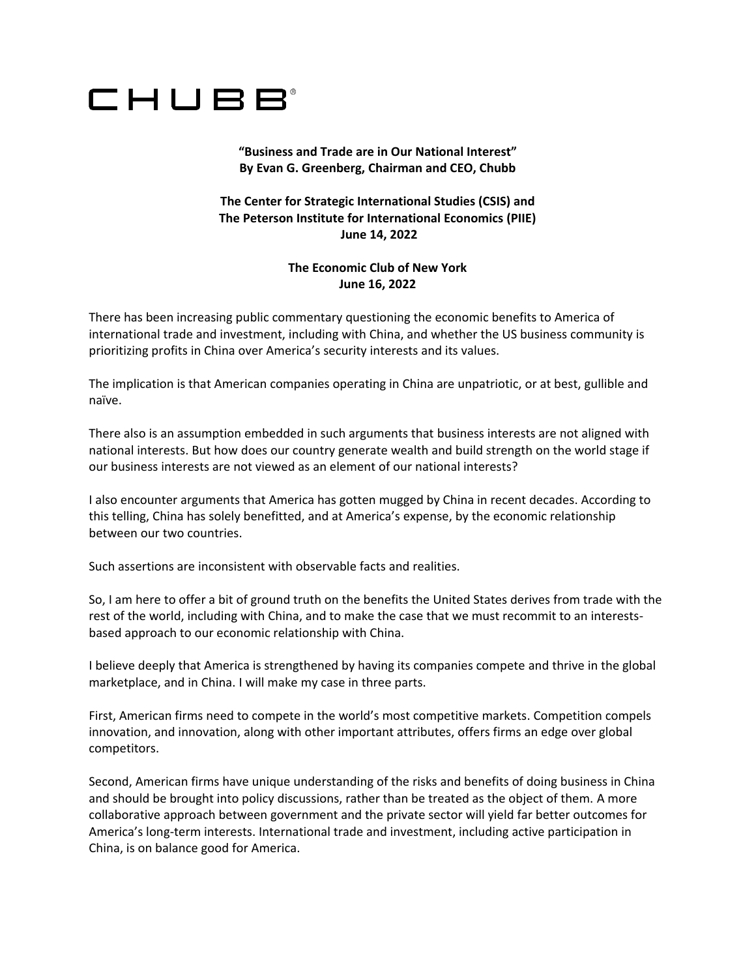

**"Business and Trade are in Our National Interest" By Evan G. Greenberg, Chairman and CEO, Chubb**

**The Center for Strategic International Studies (CSIS) and The Peterson Institute for International Economics (PIIE) June 14, 2022**

> **The Economic Club of New York June 16, 2022**

There has been increasing public commentary questioning the economic benefits to America of international trade and investment, including with China, and whether the US business community is prioritizing profits in China over America's security interests and its values.

The implication is that American companies operating in China are unpatriotic, or at best, gullible and naïve.

There also is an assumption embedded in such arguments that business interests are not aligned with national interests. But how does our country generate wealth and build strength on the world stage if our business interests are not viewed as an element of our national interests?

I also encounter arguments that America has gotten mugged by China in recent decades. According to this telling, China has solely benefitted, and at America's expense, by the economic relationship between our two countries.

Such assertions are inconsistent with observable facts and realities.

So, I am here to offer a bit of ground truth on the benefits the United States derives from trade with the rest of the world, including with China, and to make the case that we must recommit to an interestsbased approach to our economic relationship with China.

I believe deeply that America is strengthened by having its companies compete and thrive in the global marketplace, and in China. I will make my case in three parts.

First, American firms need to compete in the world's most competitive markets. Competition compels innovation, and innovation, along with other important attributes, offers firms an edge over global competitors.

Second, American firms have unique understanding of the risks and benefits of doing business in China and should be brought into policy discussions, rather than be treated as the object of them. A more collaborative approach between government and the private sector will yield far better outcomes for America's long-term interests. International trade and investment, including active participation in China, is on balance good for America.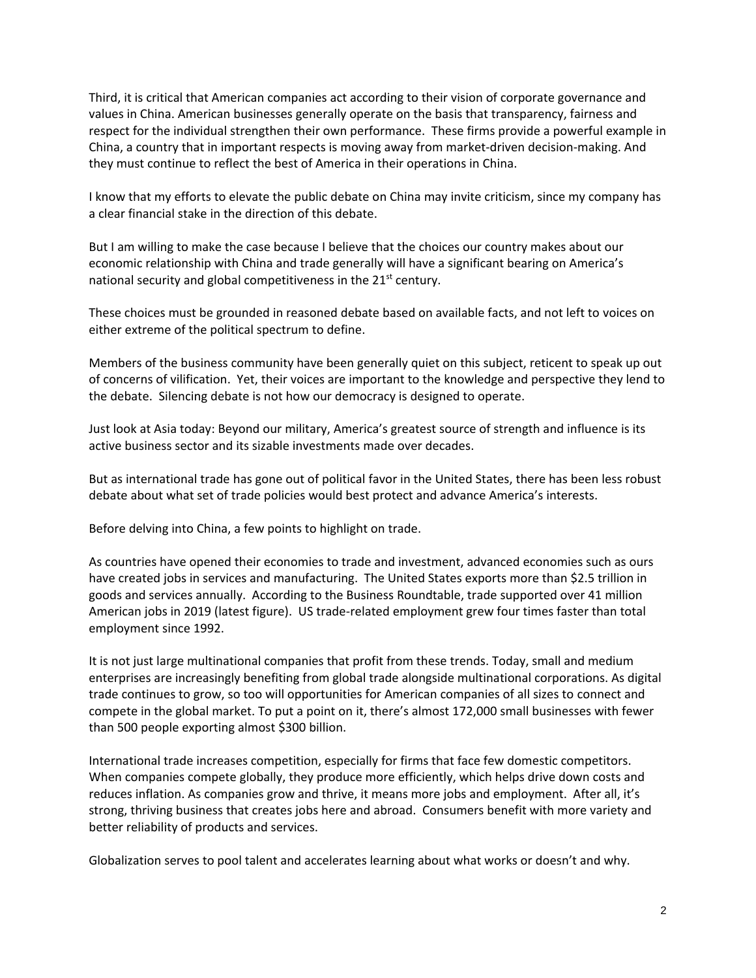Third, it is critical that American companies act according to their vision of corporate governance and values in China. American businesses generally operate on the basis that transparency, fairness and respect for the individual strengthen their own performance. These firms provide a powerful example in China, a country that in important respects is moving away from market-driven decision-making. And they must continue to reflect the best of America in their operations in China.

I know that my efforts to elevate the public debate on China may invite criticism, since my company has a clear financial stake in the direction of this debate.

But I am willing to make the case because I believe that the choices our country makes about our economic relationship with China and trade generally will have a significant bearing on America's national security and global competitiveness in the  $21<sup>st</sup>$  century.

These choices must be grounded in reasoned debate based on available facts, and not left to voices on either extreme of the political spectrum to define.

Members of the business community have been generally quiet on this subject, reticent to speak up out of concerns of vilification. Yet, their voices are important to the knowledge and perspective they lend to the debate. Silencing debate is not how our democracy is designed to operate.

Just look at Asia today: Beyond our military, America's greatest source of strength and influence is its active business sector and its sizable investments made over decades.

But as international trade has gone out of political favor in the United States, there has been less robust debate about what set of trade policies would best protect and advance America's interests.

Before delving into China, a few points to highlight on trade.

As countries have opened their economies to trade and investment, advanced economies such as ours have created jobs in services and manufacturing. The United States exports more than \$2.5 trillion in goods and services annually. According to the Business Roundtable, trade supported over 41 million American jobs in 2019 (latest figure). US trade-related employment grew four times faster than total employment since 1992.

It is not just large multinational companies that profit from these trends. Today, small and medium enterprises are increasingly benefiting from global trade alongside multinational corporations. As digital trade continues to grow, so too will opportunities for American companies of all sizes to connect and compete in the global market. To put a point on it, there's almost 172,000 small businesses with fewer than 500 people exporting almost \$300 billion.

International trade increases competition, especially for firms that face few domestic competitors. When companies compete globally, they produce more efficiently, which helps drive down costs and reduces inflation. As companies grow and thrive, it means more jobs and employment. After all, it's strong, thriving business that creates jobs here and abroad. Consumers benefit with more variety and better reliability of products and services.

Globalization serves to pool talent and accelerates learning about what works or doesn't and why.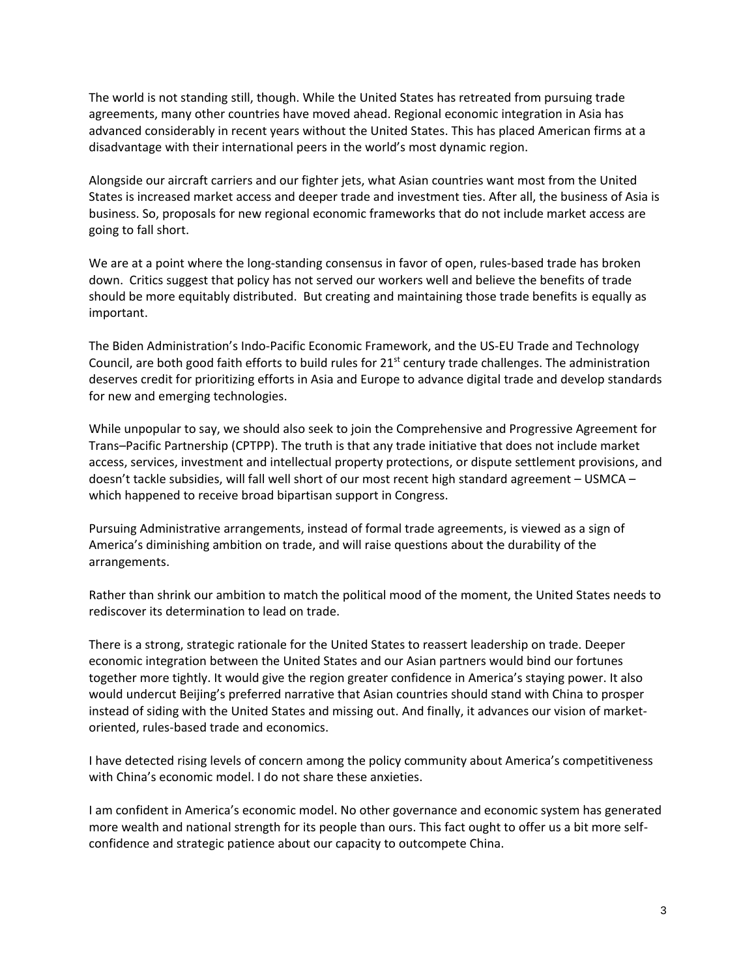The world is not standing still, though. While the United States has retreated from pursuing trade agreements, many other countries have moved ahead. Regional economic integration in Asia has advanced considerably in recent years without the United States. This has placed American firms at a disadvantage with their international peers in the world's most dynamic region.

Alongside our aircraft carriers and our fighter jets, what Asian countries want most from the United States is increased market access and deeper trade and investment ties. After all, the business of Asia is business. So, proposals for new regional economic frameworks that do not include market access are going to fall short.

We are at a point where the long-standing consensus in favor of open, rules-based trade has broken down. Critics suggest that policy has not served our workers well and believe the benefits of trade should be more equitably distributed. But creating and maintaining those trade benefits is equally as important.

The Biden Administration's Indo-Pacific Economic Framework, and the US-EU Trade and Technology Council, are both good faith efforts to build rules for  $21^{st}$  century trade challenges. The administration deserves credit for prioritizing efforts in Asia and Europe to advance digital trade and develop standards for new and emerging technologies.

While unpopular to say, we should also seek to join the Comprehensive and Progressive Agreement for Trans–Pacific Partnership (CPTPP). The truth is that any trade initiative that does not include market access, services, investment and intellectual property protections, or dispute settlement provisions, and doesn't tackle subsidies, will fall well short of our most recent high standard agreement – USMCA – which happened to receive broad bipartisan support in Congress.

Pursuing Administrative arrangements, instead of formal trade agreements, is viewed as a sign of America's diminishing ambition on trade, and will raise questions about the durability of the arrangements.

Rather than shrink our ambition to match the political mood of the moment, the United States needs to rediscover its determination to lead on trade.

There is a strong, strategic rationale for the United States to reassert leadership on trade. Deeper economic integration between the United States and our Asian partners would bind our fortunes together more tightly. It would give the region greater confidence in America's staying power. It also would undercut Beijing's preferred narrative that Asian countries should stand with China to prosper instead of siding with the United States and missing out. And finally, it advances our vision of marketoriented, rules-based trade and economics.

I have detected rising levels of concern among the policy community about America's competitiveness with China's economic model. I do not share these anxieties.

I am confident in America's economic model. No other governance and economic system has generated more wealth and national strength for its people than ours. This fact ought to offer us a bit more selfconfidence and strategic patience about our capacity to outcompete China.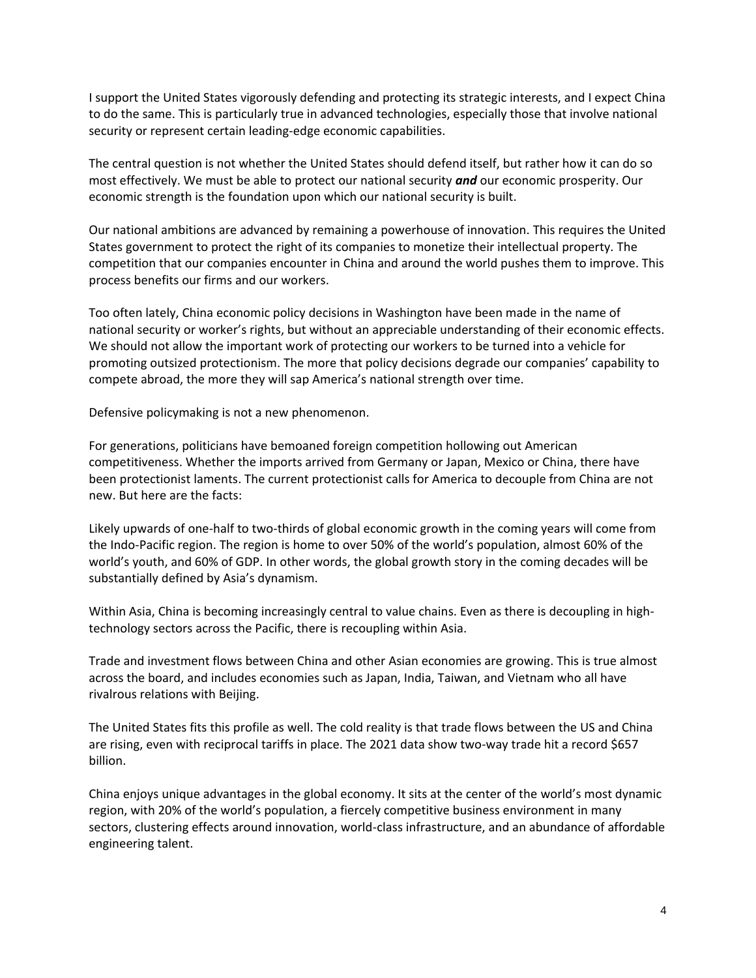I support the United States vigorously defending and protecting its strategic interests, and I expect China to do the same. This is particularly true in advanced technologies, especially those that involve national security or represent certain leading-edge economic capabilities.

The central question is not whether the United States should defend itself, but rather how it can do so most effectively. We must be able to protect our national security *and* our economic prosperity. Our economic strength is the foundation upon which our national security is built.

Our national ambitions are advanced by remaining a powerhouse of innovation. This requires the United States government to protect the right of its companies to monetize their intellectual property. The competition that our companies encounter in China and around the world pushes them to improve. This process benefits our firms and our workers.

Too often lately, China economic policy decisions in Washington have been made in the name of national security or worker's rights, but without an appreciable understanding of their economic effects. We should not allow the important work of protecting our workers to be turned into a vehicle for promoting outsized protectionism. The more that policy decisions degrade our companies' capability to compete abroad, the more they will sap America's national strength over time.

Defensive policymaking is not a new phenomenon.

For generations, politicians have bemoaned foreign competition hollowing out American competitiveness. Whether the imports arrived from Germany or Japan, Mexico or China, there have been protectionist laments. The current protectionist calls for America to decouple from China are not new. But here are the facts:

Likely upwards of one-half to two-thirds of global economic growth in the coming years will come from the Indo-Pacific region. The region is home to over 50% of the world's population, almost 60% of the world's youth, and 60% of GDP. In other words, the global growth story in the coming decades will be substantially defined by Asia's dynamism.

Within Asia, China is becoming increasingly central to value chains. Even as there is decoupling in hightechnology sectors across the Pacific, there is recoupling within Asia.

Trade and investment flows between China and other Asian economies are growing. This is true almost across the board, and includes economies such as Japan, India, Taiwan, and Vietnam who all have rivalrous relations with Beijing.

The United States fits this profile as well. The cold reality is that trade flows between the US and China are rising, even with reciprocal tariffs in place. The 2021 data show two-way trade hit a record \$657 billion.

China enjoys unique advantages in the global economy. It sits at the center of the world's most dynamic region, with 20% of the world's population, a fiercely competitive business environment in many sectors, clustering effects around innovation, world-class infrastructure, and an abundance of affordable engineering talent.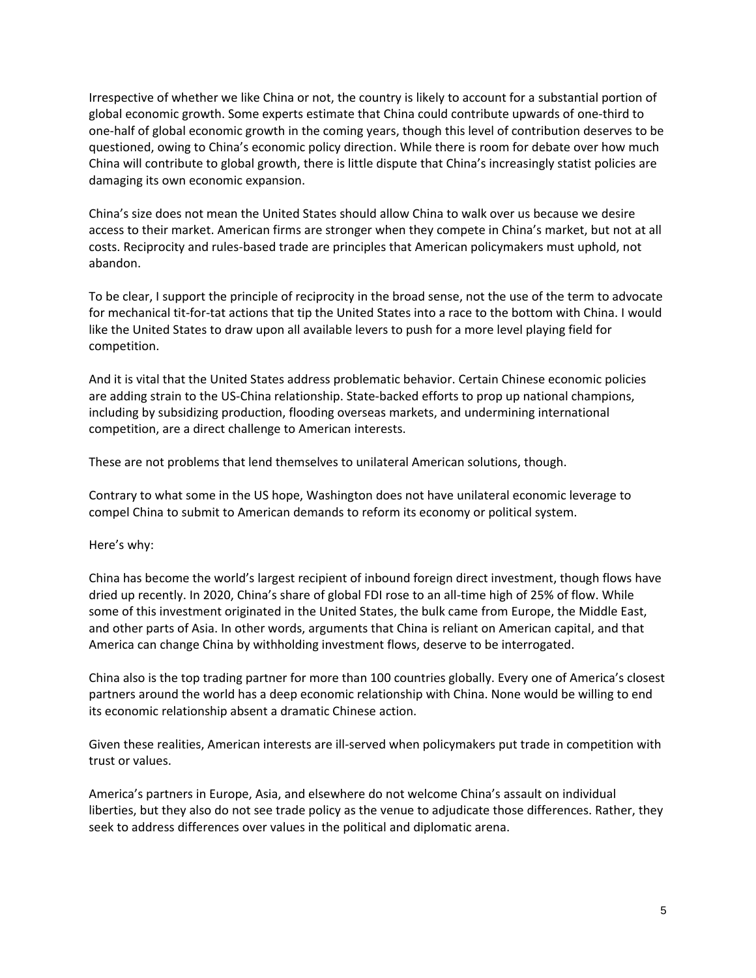Irrespective of whether we like China or not, the country is likely to account for a substantial portion of global economic growth. Some experts estimate that China could contribute upwards of one-third to one-half of global economic growth in the coming years, though this level of contribution deserves to be questioned, owing to China's economic policy direction. While there is room for debate over how much China will contribute to global growth, there is little dispute that China's increasingly statist policies are damaging its own economic expansion.

China's size does not mean the United States should allow China to walk over us because we desire access to their market. American firms are stronger when they compete in China's market, but not at all costs. Reciprocity and rules-based trade are principles that American policymakers must uphold, not abandon.

To be clear, I support the principle of reciprocity in the broad sense, not the use of the term to advocate for mechanical tit-for-tat actions that tip the United States into a race to the bottom with China. I would like the United States to draw upon all available levers to push for a more level playing field for competition.

And it is vital that the United States address problematic behavior. Certain Chinese economic policies are adding strain to the US-China relationship. State-backed efforts to prop up national champions, including by subsidizing production, flooding overseas markets, and undermining international competition, are a direct challenge to American interests.

These are not problems that lend themselves to unilateral American solutions, though.

Contrary to what some in the US hope, Washington does not have unilateral economic leverage to compel China to submit to American demands to reform its economy or political system.

## Here's why:

China has become the world's largest recipient of inbound foreign direct investment, though flows have dried up recently. In 2020, China's share of global FDI rose to an all-time high of 25% of flow. While some of this investment originated in the United States, the bulk came from Europe, the Middle East, and other parts of Asia. In other words, arguments that China is reliant on American capital, and that America can change China by withholding investment flows, deserve to be interrogated.

China also is the top trading partner for more than 100 countries globally. Every one of America's closest partners around the world has a deep economic relationship with China. None would be willing to end its economic relationship absent a dramatic Chinese action.

Given these realities, American interests are ill-served when policymakers put trade in competition with trust or values.

America's partners in Europe, Asia, and elsewhere do not welcome China's assault on individual liberties, but they also do not see trade policy as the venue to adjudicate those differences. Rather, they seek to address differences over values in the political and diplomatic arena.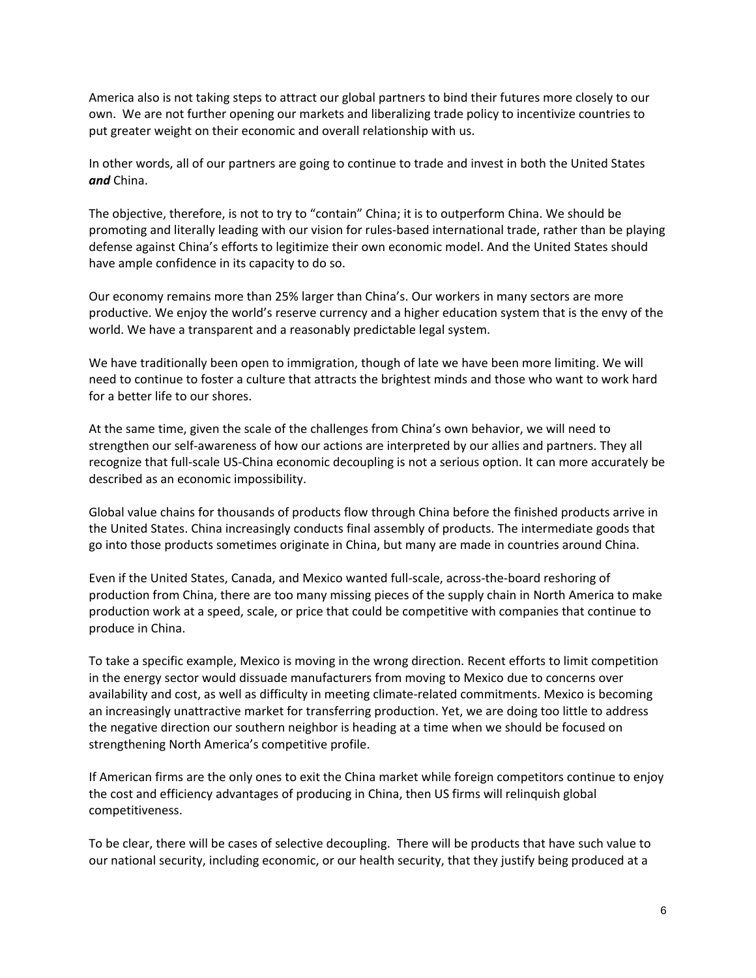America also is not taking steps to attract our global partners to bind their futures more closely to our own. We are not further opening our markets and liberalizing trade policy to incentivize countries to put greater weight on their economic and overall relationship with us.

In other words, all of our partners are going to continue to trade and invest in both the United States *and* China.

The objective, therefore, is not to try to "contain" China; it is to outperform China. We should be promoting and literally leading with our vision for rules-based international trade, rather than be playing defense against China's efforts to legitimize their own economic model. And the United States should have ample confidence in its capacity to do so.

Our economy remains more than 25% larger than China's. Our workers in many sectors are more productive. We enjoy the world's reserve currency and a higher education system that is the envy of the world. We have a transparent and a reasonably predictable legal system.

We have traditionally been open to immigration, though of late we have been more limiting. We will need to continue to foster a culture that attracts the brightest minds and those who want to work hard for a better life to our shores.

At the same time, given the scale of the challenges from China's own behavior, we will need to strengthen our self-awareness of how our actions are interpreted by our allies and partners. They all recognize that full-scale US-China economic decoupling is not a serious option. It can more accurately be described as an economic impossibility.

Global value chains for thousands of products flow through China before the finished products arrive in the United States. China increasingly conducts final assembly of products. The intermediate goods that go into those products sometimes originate in China, but many are made in countries around China.

Even if the United States, Canada, and Mexico wanted full-scale, across-the-board reshoring of production from China, there are too many missing pieces of the supply chain in North America to make production work at a speed, scale, or price that could be competitive with companies that continue to produce in China.

To take a specific example, Mexico is moving in the wrong direction. Recent efforts to limit competition in the energy sector would dissuade manufacturers from moving to Mexico due to concerns over availability and cost, as well as difficulty in meeting climate-related commitments. Mexico is becoming an increasingly unattractive market for transferring production. Yet, we are doing too little to address the negative direction our southern neighbor is heading at a time when we should be focused on strengthening North America's competitive profile.

If American firms are the only ones to exit the China market while foreign competitors continue to enjoy the cost and efficiency advantages of producing in China, then US firms will relinquish global competitiveness.

To be clear, there will be cases of selective decoupling. There will be products that have such value to our national security, including economic, or our health security, that they justify being produced at a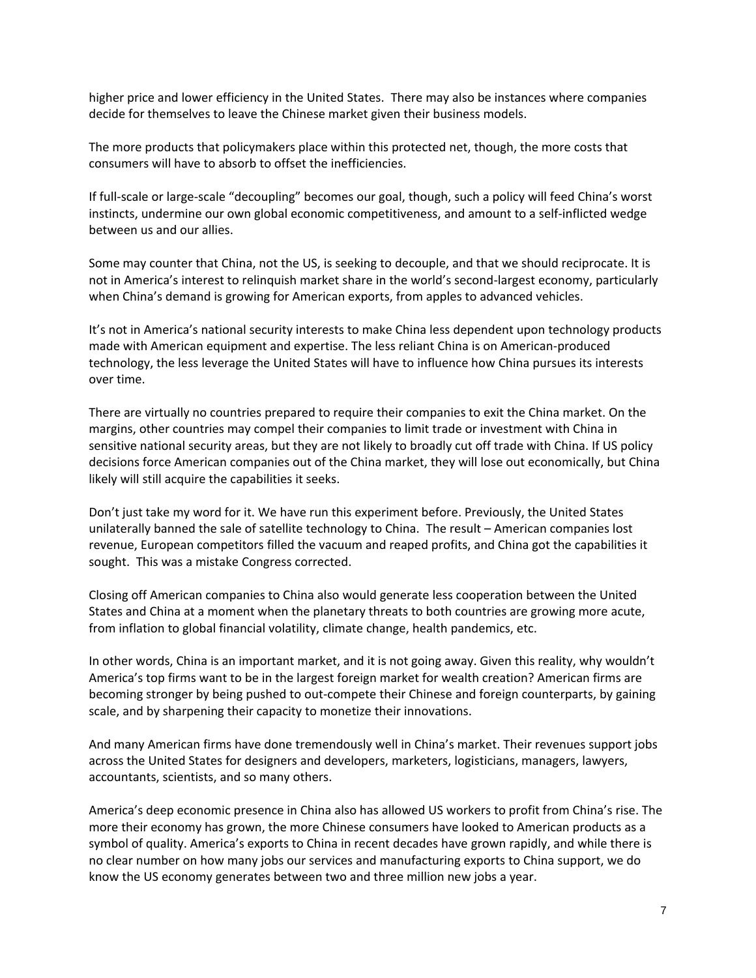higher price and lower efficiency in the United States. There may also be instances where companies decide for themselves to leave the Chinese market given their business models.

The more products that policymakers place within this protected net, though, the more costs that consumers will have to absorb to offset the inefficiencies.

If full-scale or large-scale "decoupling" becomes our goal, though, such a policy will feed China's worst instincts, undermine our own global economic competitiveness, and amount to a self-inflicted wedge between us and our allies.

Some may counter that China, not the US, is seeking to decouple, and that we should reciprocate. It is not in America's interest to relinquish market share in the world's second-largest economy, particularly when China's demand is growing for American exports, from apples to advanced vehicles.

It's not in America's national security interests to make China less dependent upon technology products made with American equipment and expertise. The less reliant China is on American-produced technology, the less leverage the United States will have to influence how China pursues its interests over time.

There are virtually no countries prepared to require their companies to exit the China market. On the margins, other countries may compel their companies to limit trade or investment with China in sensitive national security areas, but they are not likely to broadly cut off trade with China. If US policy decisions force American companies out of the China market, they will lose out economically, but China likely will still acquire the capabilities it seeks.

Don't just take my word for it. We have run this experiment before. Previously, the United States unilaterally banned the sale of satellite technology to China. The result – American companies lost revenue, European competitors filled the vacuum and reaped profits, and China got the capabilities it sought. This was a mistake Congress corrected.

Closing off American companies to China also would generate less cooperation between the United States and China at a moment when the planetary threats to both countries are growing more acute, from inflation to global financial volatility, climate change, health pandemics, etc.

In other words, China is an important market, and it is not going away. Given this reality, why wouldn't America's top firms want to be in the largest foreign market for wealth creation? American firms are becoming stronger by being pushed to out-compete their Chinese and foreign counterparts, by gaining scale, and by sharpening their capacity to monetize their innovations.

And many American firms have done tremendously well in China's market. Their revenues support jobs across the United States for designers and developers, marketers, logisticians, managers, lawyers, accountants, scientists, and so many others.

America's deep economic presence in China also has allowed US workers to profit from China's rise. The more their economy has grown, the more Chinese consumers have looked to American products as a symbol of quality. America's exports to China in recent decades have grown rapidly, and while there is no clear number on how many jobs our services and manufacturing exports to China support, we do know the US economy generates between two and three million new jobs a year.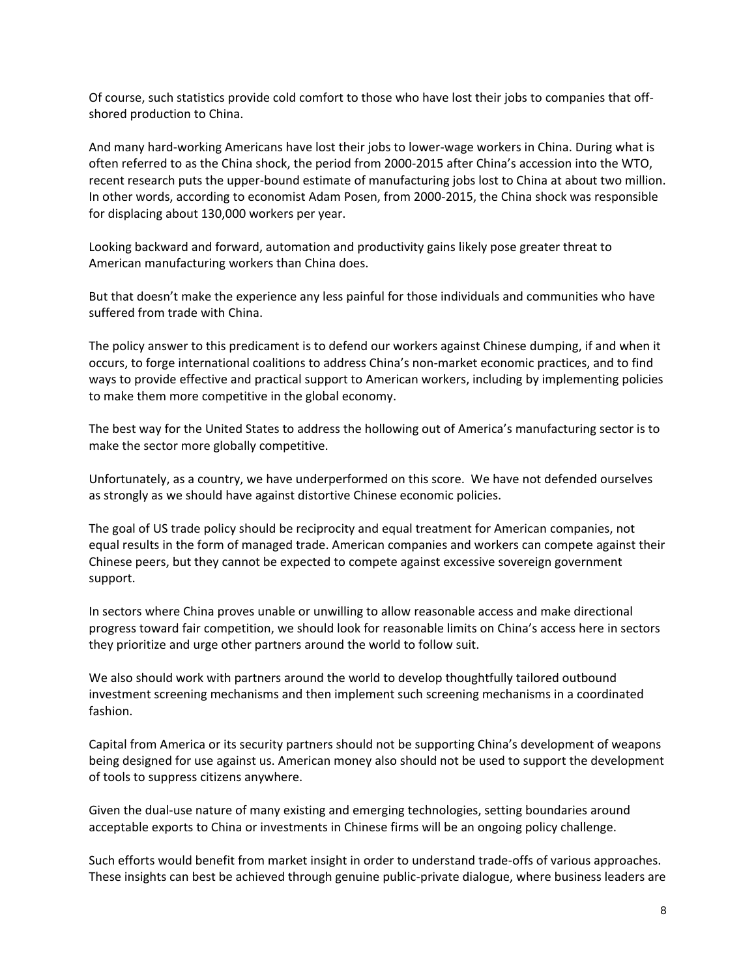Of course, such statistics provide cold comfort to those who have lost their jobs to companies that offshored production to China.

And many hard-working Americans have lost their jobs to lower-wage workers in China. During what is often referred to as the China shock, the period from 2000-2015 after China's accession into the WTO, recent research puts the upper-bound estimate of manufacturing jobs lost to China at about two million. In other words, according to economist Adam Posen, from 2000-2015, the China shock was responsible for displacing about 130,000 workers per year.

Looking backward and forward, automation and productivity gains likely pose greater threat to American manufacturing workers than China does.

But that doesn't make the experience any less painful for those individuals and communities who have suffered from trade with China.

The policy answer to this predicament is to defend our workers against Chinese dumping, if and when it occurs, to forge international coalitions to address China's non-market economic practices, and to find ways to provide effective and practical support to American workers, including by implementing policies to make them more competitive in the global economy.

The best way for the United States to address the hollowing out of America's manufacturing sector is to make the sector more globally competitive.

Unfortunately, as a country, we have underperformed on this score. We have not defended ourselves as strongly as we should have against distortive Chinese economic policies.

The goal of US trade policy should be reciprocity and equal treatment for American companies, not equal results in the form of managed trade. American companies and workers can compete against their Chinese peers, but they cannot be expected to compete against excessive sovereign government support.

In sectors where China proves unable or unwilling to allow reasonable access and make directional progress toward fair competition, we should look for reasonable limits on China's access here in sectors they prioritize and urge other partners around the world to follow suit.

We also should work with partners around the world to develop thoughtfully tailored outbound investment screening mechanisms and then implement such screening mechanisms in a coordinated fashion.

Capital from America or its security partners should not be supporting China's development of weapons being designed for use against us. American money also should not be used to support the development of tools to suppress citizens anywhere.

Given the dual-use nature of many existing and emerging technologies, setting boundaries around acceptable exports to China or investments in Chinese firms will be an ongoing policy challenge.

Such efforts would benefit from market insight in order to understand trade-offs of various approaches. These insights can best be achieved through genuine public-private dialogue, where business leaders are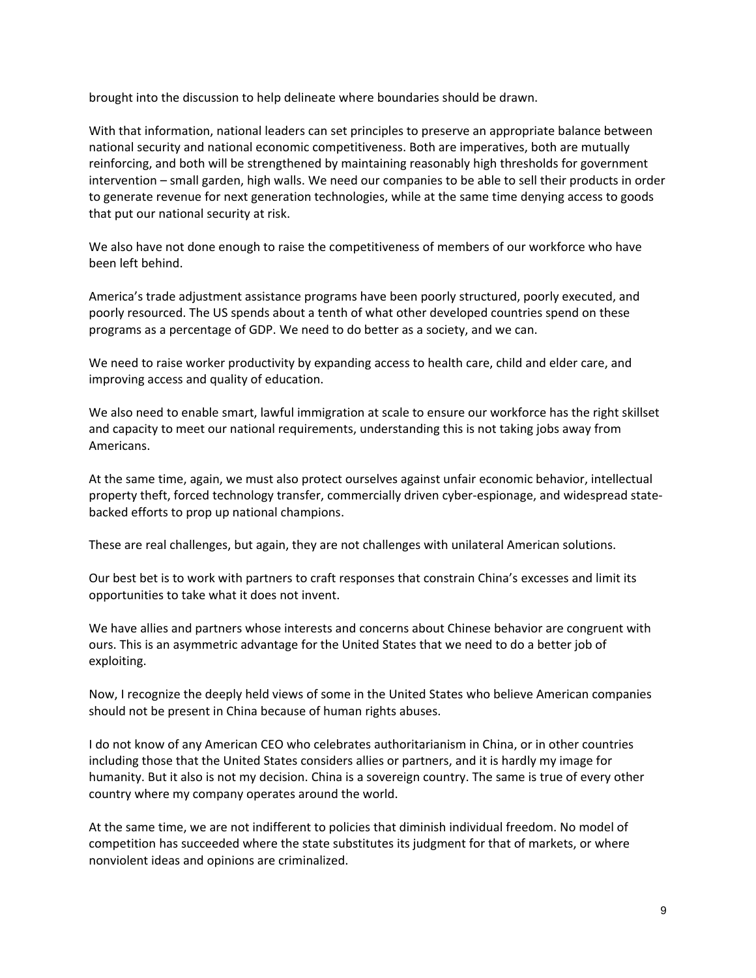brought into the discussion to help delineate where boundaries should be drawn.

With that information, national leaders can set principles to preserve an appropriate balance between national security and national economic competitiveness. Both are imperatives, both are mutually reinforcing, and both will be strengthened by maintaining reasonably high thresholds for government intervention – small garden, high walls. We need our companies to be able to sell their products in order to generate revenue for next generation technologies, while at the same time denying access to goods that put our national security at risk.

We also have not done enough to raise the competitiveness of members of our workforce who have been left behind.

America's trade adjustment assistance programs have been poorly structured, poorly executed, and poorly resourced. The US spends about a tenth of what other developed countries spend on these programs as a percentage of GDP. We need to do better as a society, and we can.

We need to raise worker productivity by expanding access to health care, child and elder care, and improving access and quality of education.

We also need to enable smart, lawful immigration at scale to ensure our workforce has the right skillset and capacity to meet our national requirements, understanding this is not taking jobs away from Americans.

At the same time, again, we must also protect ourselves against unfair economic behavior, intellectual property theft, forced technology transfer, commercially driven cyber-espionage, and widespread statebacked efforts to prop up national champions.

These are real challenges, but again, they are not challenges with unilateral American solutions.

Our best bet is to work with partners to craft responses that constrain China's excesses and limit its opportunities to take what it does not invent.

We have allies and partners whose interests and concerns about Chinese behavior are congruent with ours. This is an asymmetric advantage for the United States that we need to do a better job of exploiting.

Now, I recognize the deeply held views of some in the United States who believe American companies should not be present in China because of human rights abuses.

I do not know of any American CEO who celebrates authoritarianism in China, or in other countries including those that the United States considers allies or partners, and it is hardly my image for humanity. But it also is not my decision. China is a sovereign country. The same is true of every other country where my company operates around the world.

At the same time, we are not indifferent to policies that diminish individual freedom. No model of competition has succeeded where the state substitutes its judgment for that of markets, or where nonviolent ideas and opinions are criminalized.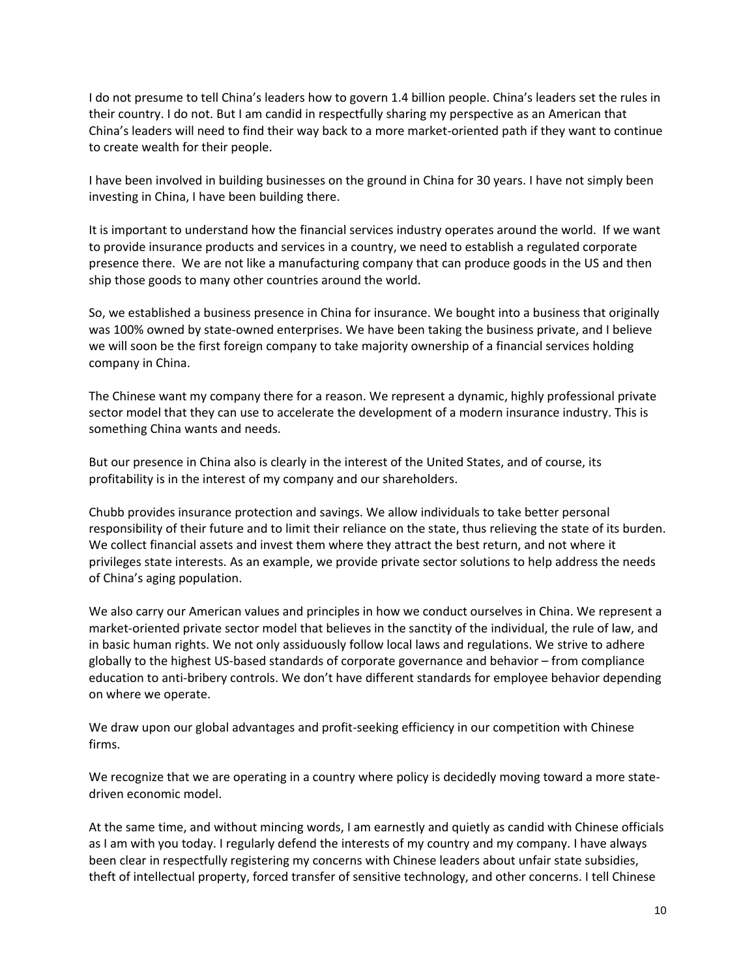I do not presume to tell China's leaders how to govern 1.4 billion people. China's leaders set the rules in their country. I do not. But I am candid in respectfully sharing my perspective as an American that China's leaders will need to find their way back to a more market-oriented path if they want to continue to create wealth for their people.

I have been involved in building businesses on the ground in China for 30 years. I have not simply been investing in China, I have been building there.

It is important to understand how the financial services industry operates around the world. If we want to provide insurance products and services in a country, we need to establish a regulated corporate presence there. We are not like a manufacturing company that can produce goods in the US and then ship those goods to many other countries around the world.

So, we established a business presence in China for insurance. We bought into a business that originally was 100% owned by state-owned enterprises. We have been taking the business private, and I believe we will soon be the first foreign company to take majority ownership of a financial services holding company in China.

The Chinese want my company there for a reason. We represent a dynamic, highly professional private sector model that they can use to accelerate the development of a modern insurance industry. This is something China wants and needs.

But our presence in China also is clearly in the interest of the United States, and of course, its profitability is in the interest of my company and our shareholders.

Chubb provides insurance protection and savings. We allow individuals to take better personal responsibility of their future and to limit their reliance on the state, thus relieving the state of its burden. We collect financial assets and invest them where they attract the best return, and not where it privileges state interests. As an example, we provide private sector solutions to help address the needs of China's aging population.

We also carry our American values and principles in how we conduct ourselves in China. We represent a market-oriented private sector model that believes in the sanctity of the individual, the rule of law, and in basic human rights. We not only assiduously follow local laws and regulations. We strive to adhere globally to the highest US-based standards of corporate governance and behavior – from compliance education to anti-bribery controls. We don't have different standards for employee behavior depending on where we operate.

We draw upon our global advantages and profit-seeking efficiency in our competition with Chinese firms.

We recognize that we are operating in a country where policy is decidedly moving toward a more statedriven economic model.

At the same time, and without mincing words, I am earnestly and quietly as candid with Chinese officials as I am with you today. I regularly defend the interests of my country and my company. I have always been clear in respectfully registering my concerns with Chinese leaders about unfair state subsidies, theft of intellectual property, forced transfer of sensitive technology, and other concerns. I tell Chinese